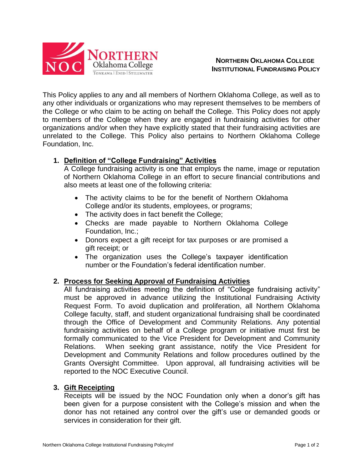

**NORTHERN OKLAHOMA COLLEGE INSTITUTIONAL FUNDRAISING POLICY**

This Policy applies to any and all members of Northern Oklahoma College, as well as to any other individuals or organizations who may represent themselves to be members of the College or who claim to be acting on behalf the College. This Policy does not apply to members of the College when they are engaged in fundraising activities for other organizations and/or when they have explicitly stated that their fundraising activities are unrelated to the College. This Policy also pertains to Northern Oklahoma College Foundation, Inc.

## **1. Definition of "College Fundraising" Activities**

A College fundraising activity is one that employs the name, image or reputation of Northern Oklahoma College in an effort to secure financial contributions and also meets at least one of the following criteria:

- The activity claims to be for the benefit of Northern Oklahoma College and/or its students, employees, or programs;
- The activity does in fact benefit the College;
- Checks are made payable to Northern Oklahoma College Foundation, Inc.;
- Donors expect a gift receipt for tax purposes or are promised a gift receipt; or
- The organization uses the College's taxpayer identification number or the Foundation's federal identification number.

## **2. Process for Seeking Approval of Fundraising Activities**

All fundraising activities meeting the definition of "College fundraising activity" must be approved in advance utilizing the Institutional Fundraising Activity Request Form. To avoid duplication and proliferation, all Northern Oklahoma College faculty, staff, and student organizational fundraising shall be coordinated through the Office of Development and Community Relations. Any potential fundraising activities on behalf of a College program or initiative must first be formally communicated to the Vice President for Development and Community Relations. When seeking grant assistance, notify the Vice President for Development and Community Relations and follow procedures outlined by the Grants Oversight Committee. Upon approval, all fundraising activities will be reported to the NOC Executive Council.

## **3. Gift Receipting**

Receipts will be issued by the NOC Foundation only when a donor's gift has been given for a purpose consistent with the College's mission and when the donor has not retained any control over the gift's use or demanded goods or services in consideration for their gift.